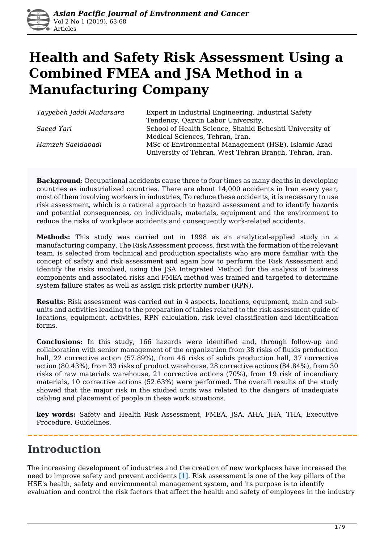

# **Health and Safety Risk Assessment Using a Combined FMEA and JSA Method in a Manufacturing Company**

*Tayyebeh Jaddi Madarsara* Expert in Industrial Engineering, Industrial Safety Tendency, Qazvin Labor University. **Saeed Yari** School of Health Science, Shahid Beheshti University of Medical Sciences, Tehran, Iran. *Hamzeh Saeidabadi* MSc of Environmental Management (HSE), Islamic Azad University of Tehran, West Tehran Branch, Tehran, Iran.

**Background**: Occupational accidents cause three to four times as many deaths in developing countries as industrialized countries. There are about 14,000 accidents in Iran every year, most of them involving workers in industries, To reduce these accidents, it is necessary to use risk assessment, which is a rational approach to hazard assessment and to identify hazards and potential consequences, on individuals, materials, equipment and the environment to reduce the risks of workplace accidents and consequently work-related accidents.

**Methods:** This study was carried out in 1998 as an analytical-applied study in a manufacturing company. The Risk Assessment process, first with the formation of the relevant team, is selected from technical and production specialists who are more familiar with the concept of safety and risk assessment and again how to perform the Risk Assessment and Identify the risks involved, using the JSA Integrated Method for the analysis of business components and associated risks and FMEA method was trained and targeted to determine system failure states as well as assign risk priority number (RPN).

**Results**: Risk assessment was carried out in 4 aspects, locations, equipment, main and subunits and activities leading to the preparation of tables related to the risk assessment guide of locations, equipment, activities, RPN calculation, risk level classification and identification forms.

**Conclusions:** In this study, 166 hazards were identified and, through follow-up and collaboration with senior management of the organization from 38 risks of fluids production hall, 22 corrective action (57.89%), from 46 risks of solids production hall, 37 corrective action (80.43%), from 33 risks of product warehouse, 28 corrective actions (84.84%), from 30 risks of raw materials warehouse, 21 corrective actions (70%), from 19 risk of incendiary materials, 10 corrective actions (52.63%) were performed. The overall results of the study showed that the major risk in the studied units was related to the dangers of inadequate cabling and placement of people in these work situations.

**key words:** Safety and Health Risk Assessment, FMEA, JSA, AHA, JHA, THA, Executive Procedure, Guidelines.

### **Introduction**

The increasing development of industries and the creation of new workplaces have increased the need to improve safety and prevent accidents [1]. Risk assessment is one of the key pillars of the HSE's health, safety and environmental management system, and its purpose is to identify evaluation and control the risk factors that affect the health and safety of employees in the industry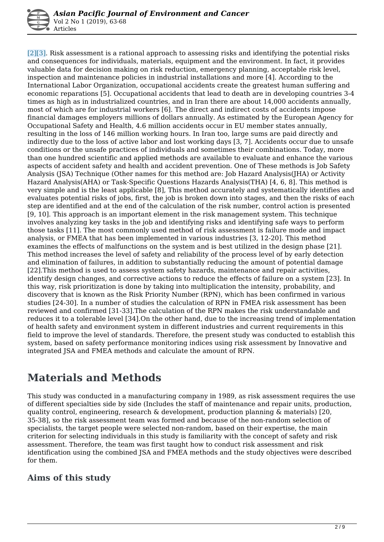[2][3]. Risk assessment is a rational approach to assessing risks and identifying the potential risks and consequences for individuals, materials, equipment and the environment. In fact, it provides valuable data for decision making on risk reduction, emergency planning, acceptable risk level, inspection and maintenance policies in industrial installations and more [4]. According to the International Labor Organization, occupational accidents create the greatest human suffering and economic reparations [5]. Occupational accidents that lead to death are in developing countries 3-4 times as high as in industrialized countries, and in Iran there are about 14,000 accidents annually, most of which are for industrial workers [6]. The direct and indirect costs of accidents impose financial damages employers millions of dollars annually. As estimated by the European Agency for Occupational Safety and Health, 4.6 million accidents occur in EU member states annually, resulting in the loss of 146 million working hours. In Iran too, large sums are paid directly and indirectly due to the loss of active labor and lost working days [3, 7]. Accidents occur due to unsafe conditions or the unsafe practices of individuals and sometimes their combinations. Today, more than one hundred scientific and applied methods are available to evaluate and enhance the various aspects of accident safety and health and accident prevention. One of These methods is Job Safety Analysis (JSA) Technique (Other names for this method are: Job Hazard Analysis(JHA) or Activity Hazard Analysis(AHA) or Task-Specific Questions Hazards Analysis(THA) [4, 6, 8]. This method is very simple and is the least applicable [8], This method accurately and systematically identifies and evaluates potential risks of jobs, first, the job is broken down into stages, and then the risks of each step are identified and at the end of the calculation of the risk number, control action is presented [9, 10]. This approach is an important element in the risk management system. This technique involves analyzing key tasks in the job and identifying risks and identifying safe ways to perform those tasks [11]. The most commonly used method of risk assessment is failure mode and impact analysis, or FMEA that has been implemented in various industries [3, 12-20]. This method examines the effects of malfunctions on the system and is best utilized in the design phase [21]. This method increases the level of safety and reliability of the process level of by early detection and elimination of failures, in addition to substantially reducing the amount of potential damage [22].This method is used to assess system safety hazards, maintenance and repair activities, identify design changes, and corrective actions to reduce the effects of failure on a system [23]. In this way, risk prioritization is done by taking into multiplication the intensity, probability, and discovery that is known as the Risk Priority Number (RPN), which has been confirmed in various studies [24-30]. In a number of studies the calculation of RPN in FMEA risk assessment has been reviewed and confirmed [31-33].The calculation of the RPN makes the risk understandable and reduces it to a tolerable level [34].On the other hand, due to the increasing trend of implementation of health safety and environment system in different industries and current requirements in this field to improve the level of standards. Therefore, the present study was conducted to establish this system, based on safety performance monitoring indices using risk assessment by Innovative and integrated JSA and FMEA methods and calculate the amount of RPN.

## **Materials and Methods**

This study was conducted in a manufacturing company in 1989, as risk assessment requires the use of different specialties side by side (Includes the staff of maintenance and repair units, production, quality control, engineering, research & development, production planning & materials) [20, 35-38], so the risk assessment team was formed and because of the non-random selection of specialists, the target people were selected non-random, based on their expertise, the main criterion for selecting individuals in this study is familiarity with the concept of safety and risk assessment. Therefore, the team was first taught how to conduct risk assessment and risk identification using the combined JSA and FMEA methods and the study objectives were described for them.

### **Aims of this study**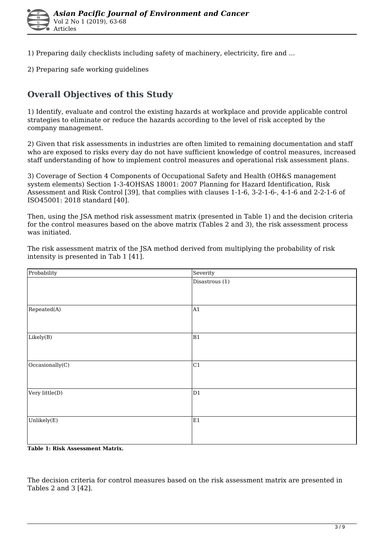

1) Preparing daily checklists including safety of machinery, electricity, fire and ...

2) Preparing safe working guidelines

### **Overall Objectives of this Study**

1) Identify, evaluate and control the existing hazards at workplace and provide applicable control strategies to eliminate or reduce the hazards according to the level of risk accepted by the company management.

2) Given that risk assessments in industries are often limited to remaining documentation and staff who are exposed to risks every day do not have sufficient knowledge of control measures, increased staff understanding of how to implement control measures and operational risk assessment plans.

3) Coverage of Section 4 Components of Occupational Safety and Health (OH&S management system elements) Section 1-3-4OHSAS 18001: 2007 Planning for Hazard Identification, Risk Assessment and Risk Control [39], that complies with clauses 1-1-6, 3-2-1-6-, 4-1-6 and 2-2-1-6 of ISO45001: 2018 standard [40].

Then, using the JSA method risk assessment matrix (presented in Table 1) and the decision criteria for the control measures based on the above matrix (Tables 2 and 3), the risk assessment process was initiated.

| Probability     | Severity       |  |  |
|-----------------|----------------|--|--|
|                 | Disastrous (1) |  |  |
| Repeated(A)     | A1             |  |  |
| Listely(B)      | B <sub>1</sub> |  |  |
| Occasionally(C) | C1             |  |  |
| Very little(D)  | D1             |  |  |
| Unlikely $(E)$  | E1             |  |  |

The risk assessment matrix of the JSA method derived from multiplying the probability of risk intensity is presented in Tab 1 [41].

#### **Table 1: Risk Assessment Matrix.**

The decision criteria for control measures based on the risk assessment matrix are presented in Tables 2 and 3 [42].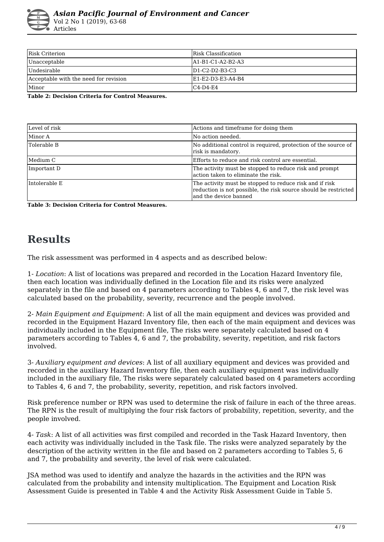

| Risk Criterion                        | Risk Classification |
|---------------------------------------|---------------------|
| Unacceptable                          | A1-B1-C1-A2-B2-A3   |
| Undesirable                           | $ID1-C2-D2-B3-C3$   |
| Acceptable with the need for revision | IE1-E2-D3-E3-A4-B4  |
| Minor                                 | $C4-D4-E4$          |

**Table 2: Decision Criteria for Control Measures.** 

| Level of risk | Actions and timeframe for doing them                                                                                                                 |  |  |  |
|---------------|------------------------------------------------------------------------------------------------------------------------------------------------------|--|--|--|
| Minor A       | No action needed.                                                                                                                                    |  |  |  |
| Tolerable B   | No additional control is required, protection of the source of<br>risk is mandatory.                                                                 |  |  |  |
| Medium C      | Efforts to reduce and risk control are essential.                                                                                                    |  |  |  |
| Important D   | The activity must be stopped to reduce risk and prompt<br>laction taken to eliminate the risk.                                                       |  |  |  |
| Intolerable E | The activity must be stopped to reduce risk and if risk<br>reduction is not possible, the risk source should be restricted<br>land the device banned |  |  |  |

**Table 3: Decision Criteria for Control Measures.** 

# **Results**

The risk assessment was performed in 4 aspects and as described below:

1- *Location*: A list of locations was prepared and recorded in the Location Hazard Inventory file, then each location was individually defined in the Location file and its risks were analyzed separately in the file and based on 4 parameters according to Tables 4, 6 and 7, the risk level was calculated based on the probability, severity, recurrence and the people involved.

2- *Main Equipment and Equipment*: A list of all the main equipment and devices was provided and recorded in the Equipment Hazard Inventory file, then each of the main equipment and devices was individually included in the Equipment file, The risks were separately calculated based on 4 parameters according to Tables 4, 6 and 7, the probability, severity, repetition, and risk factors involved.

3- *Auxiliary equipment and devices*: A list of all auxiliary equipment and devices was provided and recorded in the auxiliary Hazard Inventory file, then each auxiliary equipment was individually included in the auxiliary file, The risks were separately calculated based on 4 parameters according to Tables 4, 6 and 7, the probability, severity, repetition, and risk factors involved.

Risk preference number or RPN was used to determine the risk of failure in each of the three areas. The RPN is the result of multiplying the four risk factors of probability, repetition, severity, and the people involved.

4- *Task*: A list of all activities was first compiled and recorded in the Task Hazard Inventory, then each activity was individually included in the Task file. The risks were analyzed separately by the description of the activity written in the file and based on 2 parameters according to Tables 5, 6 and 7, the probability and severity, the level of risk were calculated.

JSA method was used to identify and analyze the hazards in the activities and the RPN was calculated from the probability and intensity multiplication. The Equipment and Location Risk Assessment Guide is presented in Table 4 and the Activity Risk Assessment Guide in Table 5.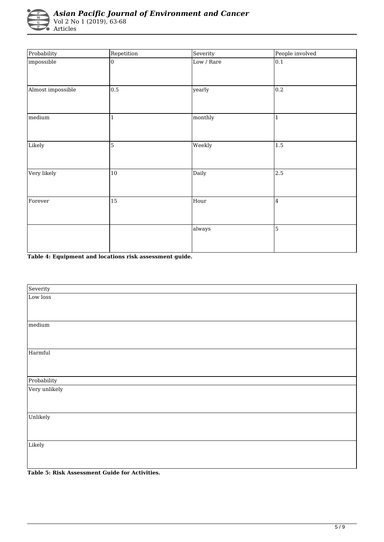

Articles

| Probability       | Repetition     | Severity   | People involved |
|-------------------|----------------|------------|-----------------|
| impossible        | $\overline{0}$ | Low / Rare | 0.1             |
| Almost impossible | 0.5            | yearly     | 0.2             |
| medium            | $\mathbf{1}$   | monthly    | 1               |
| Likely            | $\overline{5}$ | Weekly     | 1.5             |
| Very likely       | 10             | Daily      | 2.5             |
| Forever           | 15             | Hour       | 4               |
|                   |                | always     | 5               |

**Table 4: Equipment and locations risk assessment guide.** 

| Severity      |  |
|---------------|--|
| Low loss      |  |
|               |  |
|               |  |
| medium        |  |
|               |  |
|               |  |
| Harmful       |  |
|               |  |
|               |  |
| Probability   |  |
| Very unlikely |  |
|               |  |
|               |  |
| Unlikely      |  |
|               |  |
|               |  |
| Likely        |  |
|               |  |
|               |  |

**Table 5: Risk Assessment Guide for Activities.**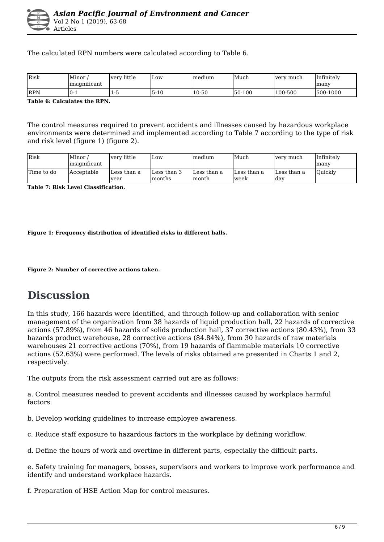The calculated RPN numbers were calculated according to Table 6.

| <b>I</b> Risk | Minor<br>$\cdot$ $\sim$<br>linsignificant | very little | Low  | Imedium | Much   | very much | Infinitely<br>lmany |
|---------------|-------------------------------------------|-------------|------|---------|--------|-----------|---------------------|
| <b>IRPN</b>   | $0 - 1$                                   | -<br>ن- 1   | 5-10 | 10-50   | 50-100 | 100-500   | 500-1000            |

**Table 6: Calculates the RPN.** 

The control measures required to prevent accidents and illnesses caused by hazardous workplace environments were determined and implemented according to Table 7 according to the type of risk and risk level (figure 1) (figure 2).

| <b>Risk</b> | Minor /<br>linsianificant | lverv little        | Low.                   | Imedium               | Much                 | very much           | Infinitelv<br>lmany |
|-------------|---------------------------|---------------------|------------------------|-----------------------|----------------------|---------------------|---------------------|
| Time to do  | Acceptable                | Less than a<br>vear | Less than 3<br>Imonths | lLess than a<br>month | lLess than a<br>week | Less than a<br>lday | <b>Ouickly</b>      |

**Table 7: Risk Level Classification.** 

**Figure 1: Frequency distribution of identified risks in different halls.** 

**Figure 2: Number of corrective actions taken.** 

### **Discussion**

In this study, 166 hazards were identified, and through follow-up and collaboration with senior management of the organization from 38 hazards of liquid production hall, 22 hazards of corrective actions (57.89%), from 46 hazards of solids production hall, 37 corrective actions (80.43%), from 33 hazards product warehouse, 28 corrective actions (84.84%), from 30 hazards of raw materials warehouses 21 corrective actions (70%), from 19 hazards of flammable materials 10 corrective actions (52.63%) were performed. The levels of risks obtained are presented in Charts 1 and 2, respectively.

The outputs from the risk assessment carried out are as follows:

a. Control measures needed to prevent accidents and illnesses caused by workplace harmful factors.

b. Develop working guidelines to increase employee awareness.

c. Reduce staff exposure to hazardous factors in the workplace by defining workflow.

d. Define the hours of work and overtime in different parts, especially the difficult parts.

e. Safety training for managers, bosses, supervisors and workers to improve work performance and identify and understand workplace hazards.

f. Preparation of HSE Action Map for control measures.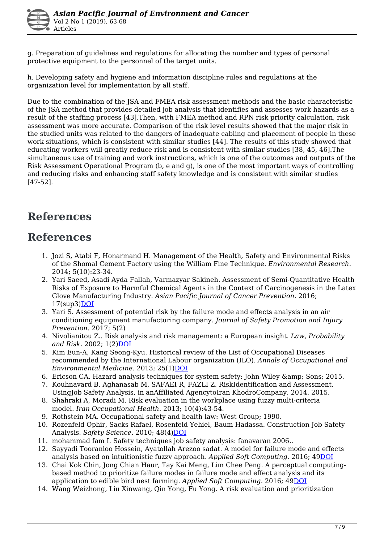g. Preparation of guidelines and regulations for allocating the number and types of personal protective equipment to the personnel of the target units.

h. Developing safety and hygiene and information discipline rules and regulations at the organization level for implementation by all staff.

Due to the combination of the JSA and FMEA risk assessment methods and the basic characteristic of the JSA method that provides detailed job analysis that identifies and assesses work hazards as a result of the staffing process [43].Then, with FMEA method and RPN risk priority calculation, risk assessment was more accurate. Comparison of the risk level results showed that the major risk in the studied units was related to the dangers of inadequate cabling and placement of people in these work situations, which is consistent with similar studies [44]. The results of this study showed that educating workers will greatly reduce risk and is consistent with similar studies [38, 45, 46].The simultaneous use of training and work instructions, which is one of the outcomes and outputs of the Risk Assessment Operational Program (b, e and g), is one of the most important ways of controlling and reducing risks and enhancing staff safety knowledge and is consistent with similar studies [47-52].

## **References**

### **References**

- 1. Jozi S, Atabi F, Honarmand H. Management of the Health, Safety and Environmental Risks of the Shomal Cement Factory using the William Fine Technique. *Environmental Research.* 2014; 5(10):23-34.
- 2. Yari Saeed, Asadi Ayda Fallah, Varmazyar Sakineh. Assessment of Semi-Quantitative Health Risks of Exposure to Harmful Chemical Agents in the Context of Carcinogenesis in the Latex Glove Manufacturing Industry. *Asian Pacific Journal of Cancer Prevention.* 2016;  $17$ (sup $3)$ [DOI](https://doi.org/10.7314/apjcp.2016.17.s3.205)
- 3. Yari S. Assessment of potential risk by the failure mode and effects analysis in an air conditioning equipment manufacturing company. *Journal of Safety Promotion and Injury Prevention.* 2017; 5(2)
- 4. Nivolianitou Z.. Risk analysis and risk management: a European insight. *Law, Probability and Risk.* 2002; 1(2[\)DOI](https://doi.org/10.1093/lpr/1.2.161)
- 5. Kim Eun-A, Kang Seong-Kyu. Historical review of the List of Occupational Diseases recommended by the International Labour organization (ILO). *Annals of Occupational and Environmental Medicine.* 2013; 25(1)[DOI](https://doi.org/10.1186/2052-4374-25-14)
- 6. Ericson CA. Hazard analysis techniques for system safety: John Wiley & amp; Sons; 2015.
- 7. Kouhnavard B, Aghanasab M, SAFAEI R, FAZLI Z. RiskIdentification and Assessment, UsingJob Safety Analysis, in anAffiliated AgencytoIran KhodroCompany, 2014. 2015.
- 8. Shahraki A, Moradi M. Risk evaluation in the workplace using fuzzy multi-criteria model. *Iran Occupational Health.* 2013; 10(4):43-54.
- 9. Rothstein MA. Occupational safety and health law: West Group; 1990.
- 10. Rozenfeld Ophir, Sacks Rafael, Rosenfeld Yehiel, Baum Hadassa. Construction Job Safety Analysis. Safety Science. 2010; 48(4[\)DOI](https://doi.org/10.1016/j.ssci.2009.12.017)
- 11. mohammad fam I. Safety techniques job safety analysis: fanavaran 2006..
- 12. Sayyadi Tooranloo Hossein, Ayatollah Arezoo sadat. A model for failure mode and effects analysis based on intuitionistic fuzzy approach. *Applied Soft Computing.* 2016; 49[DOI](https://doi.org/10.1016/j.asoc.2016.07.047)
- 13. Chai Kok Chin, Jong Chian Haur, Tay Kai Meng, Lim Chee Peng. A perceptual computingbased method to prioritize failure modes in failure mode and effect analysis and its application to edible bird nest farming. *Applied Soft Computing.* 2016; 4[9DOI](https://doi.org/10.1016/j.asoc.2016.08.043)
- 14. Wang Weizhong, Liu Xinwang, Qin Yong, Fu Yong. A risk evaluation and prioritization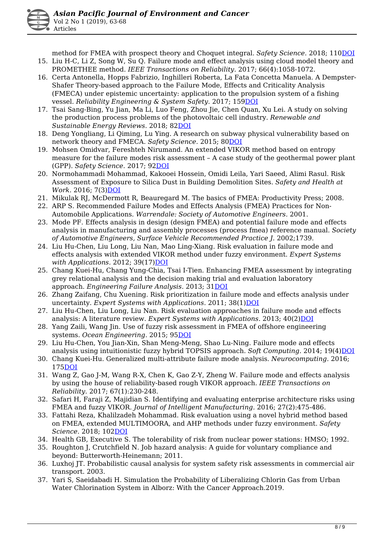method for FMEA with prospect theory and Choquet integral. *Safety Science.* 2018; 11[0DOI](https://doi.org/10.1016/j.ssci.2018.08.009)

- 15. Liu H-C, Li Z, Song W, Su Q. Failure mode and effect analysis using cloud model theory and PROMETHEE method. *IEEE Transactions on Reliability.* 2017; 66(4):1058-1072.
- 16. Certa Antonella, Hopps Fabrizio, Inghilleri Roberta, La Fata Concetta Manuela. A Dempster-Shafer Theory-based approach to the Failure Mode, Effects and Criticality Analysis (FMECA) under epistemic uncertainty: application to the propulsion system of a fishing vessel. *Reliability Engineering & System Safety.* 2017; 15[9DOI](https://doi.org/10.1016/j.ress.2016.10.018)
- 17. Tsai Sang-Bing, Yu Jian, Ma Li, Luo Feng, Zhou Jie, Chen Quan, Xu Lei. A study on solving the production process problems of the photovoltaic cell industry. *Renewable and Sustainable Energy Reviews.* 2018; 8[2DOI](https://doi.org/10.1016/j.rser.2017.10.105)
- 18. Deng Yongliang, Li Qiming, Lu Ying. A research on subway physical vulnerability based on network theory and FMECA. *Safety Science.* 2015; 8[0DOI](https://doi.org/10.1016/j.ssci.2015.07.019)
- 19. Mohsen Omidvar, Fereshteh Nirumand. An extended VIKOR method based on entropy measure for the failure modes risk assessment – A case study of the geothermal power plant (GPP). *Safety Science.* 2017; 9[2DOI](https://doi.org/10.1016/j.ssci.2016.10.006)
- 20. Normohammadi Mohammad, Kakooei Hossein, Omidi Leila, Yari Saeed, Alimi Rasul. Risk Assessment of Exposure to Silica Dust in Building Demolition Sites. *Safety and Health at Work.* 2016; 7(3)[DOI](https://doi.org/10.1016/j.shaw.2015.12.006)
- 21. Mikulak RJ, McDermott R, Beauregard M. The basics of FMEA: Productivity Press; 2008.
- 22. ARP S. Recommended Failure Modes and Effects Analysis (FMEA) Practices for Non-Automobile Applications. *Warrendale: Society of Automotive Engineers.* 2001.
- 23. Mode PF. Effects analysis in design (design FMEA) and potential failure mode and effects analysis in manufacturing and assembly processes (process fmea) reference manual. *Society of Automotive Engineers, Surface Vehicle Recommended Practice J.* 2002;1739.
- 24. Liu Hu-Chen, Liu Long, Liu Nan, Mao Ling-Xiang. Risk evaluation in failure mode and effects analysis with extended VIKOR method under fuzzy environment. *Expert Systems* with Applications. 2012; 39(17[\)DOI](https://doi.org/10.1016/j.eswa.2012.05.031)
- 25. Chang Kuei-Hu, Chang Yung-Chia, Tsai I-Tien. Enhancing FMEA assessment by integrating grey relational analysis and the decision making trial and evaluation laboratory approach. *Engineering Failure Analysis.* 2013; 31[DOI](https://doi.org/10.1016/j.engfailanal.2013.02.020)
- 26. Zhang Zaifang, Chu Xuening. Risk prioritization in failure mode and effects analysis under uncertainty. Expert Systems with Applications. 2011; 38(1)[DOI](https://doi.org/10.1016/j.eswa.2010.06.046)
- 27. Liu Hu-Chen, Liu Long, Liu Nan. Risk evaluation approaches in failure mode and effects analysis: A literature review. *Expert Systems with Applications.* 2013; 40(2) DOI
- 28. Yang Zaili, Wang Jin. Use of fuzzy risk assessment in FMEA of offshore engineering systems. *Ocean Engineering.* 2015; 9[5DOI](https://doi.org/10.1016/j.oceaneng.2014.11.037)
- 29. Liu Hu-Chen, You Jian-Xin, Shan Meng-Meng, Shao Lu-Ning. Failure mode and effects analysis using intuitionistic fuzzy hybrid TOPSIS approach. Soft Computing. 2014; 19(4)[DOI](https://doi.org/10.1007/s00500-014-1321-x)
- 30. Chang Kuei-Hu. Generalized multi-attribute failure mode analysis. *Neurocomputing.* 2016; 175[DOI](https://doi.org/10.1016/j.neucom.2015.10.039)
- 31. Wang Z, Gao J-M, Wang R-X, Chen K, Gao Z-Y, Zheng W. Failure mode and effects analysis by using the house of reliability-based rough VIKOR approach. *IEEE Transactions on Reliability.* 2017; 67(1):230-248.
- 32. Safari H, Faraji Z, Majidian S. Identifying and evaluating enterprise architecture risks using FMEA and fuzzy VIKOR. *Journal of Intelligent Manufacturing.* 2016; 27(2):475-486.
- 33. Fattahi Reza, Khalilzadeh Mohammad. Risk evaluation using a novel hybrid method based on FMEA, extended MULTIMOORA, and AHP methods under fuzzy environment. *Safety Science.* 2018; 102[DOI](https://doi.org/10.1016/j.ssci.2017.10.018)
- 34. Health GB, Executive S. The tolerability of risk from nuclear power stations: HMSO; 1992.
- 35. Roughton J, Crutchfield N. Job hazard analysis: A guide for voluntary compliance and beyond: Butterworth-Heinemann; 2011.
- 36. Luxhoj JT. Probabilistic causal analysis for system safety risk assessments in commercial air transport. 2003.
- 37. Yari S, Saeidabadi H. Simulation the Probability of Liberalizing Chlorin Gas from Urban Water Chlorination System in Alborz: With the Cancer Approach.2019.